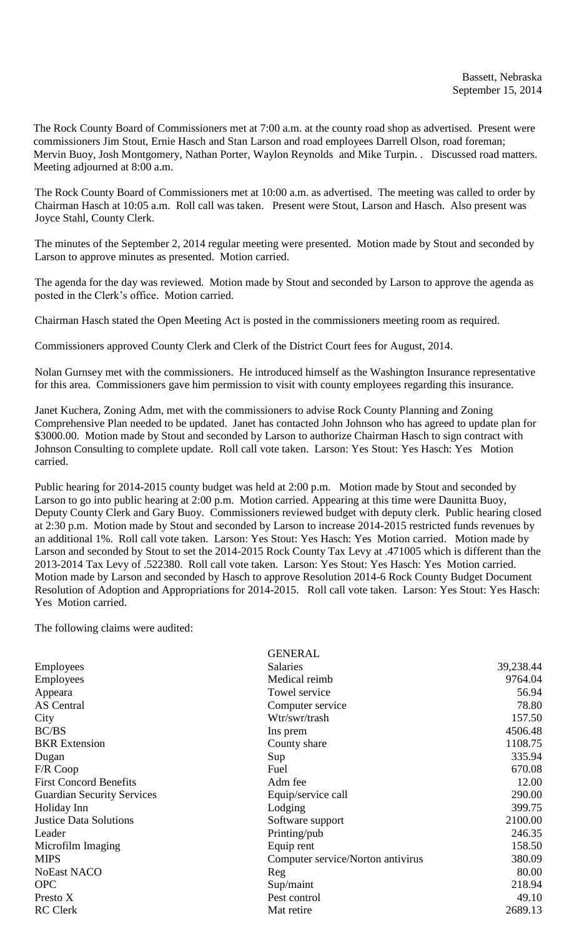The Rock County Board of Commissioners met at 7:00 a.m. at the county road shop as advertised. Present were commissioners Jim Stout, Ernie Hasch and Stan Larson and road employees Darrell Olson, road foreman; Mervin Buoy, Josh Montgomery, Nathan Porter, Waylon Reynolds and Mike Turpin. . Discussed road matters. Meeting adjourned at 8:00 a.m.

The Rock County Board of Commissioners met at 10:00 a.m. as advertised. The meeting was called to order by Chairman Hasch at 10:05 a.m. Roll call was taken. Present were Stout, Larson and Hasch. Also present was Joyce Stahl, County Clerk.

The minutes of the September 2, 2014 regular meeting were presented. Motion made by Stout and seconded by Larson to approve minutes as presented. Motion carried.

The agenda for the day was reviewed. Motion made by Stout and seconded by Larson to approve the agenda as posted in the Clerk's office. Motion carried.

Chairman Hasch stated the Open Meeting Act is posted in the commissioners meeting room as required.

Commissioners approved County Clerk and Clerk of the District Court fees for August, 2014.

Nolan Gurnsey met with the commissioners. He introduced himself as the Washington Insurance representative for this area. Commissioners gave him permission to visit with county employees regarding this insurance.

Janet Kuchera, Zoning Adm, met with the commissioners to advise Rock County Planning and Zoning Comprehensive Plan needed to be updated. Janet has contacted John Johnson who has agreed to update plan for \$3000.00. Motion made by Stout and seconded by Larson to authorize Chairman Hasch to sign contract with Johnson Consulting to complete update. Roll call vote taken. Larson: Yes Stout: Yes Hasch: Yes Motion carried.

Public hearing for 2014-2015 county budget was held at 2:00 p.m. Motion made by Stout and seconded by Larson to go into public hearing at 2:00 p.m. Motion carried. Appearing at this time were Daunitta Buoy, Deputy County Clerk and Gary Buoy. Commissioners reviewed budget with deputy clerk. Public hearing closed at 2:30 p.m. Motion made by Stout and seconded by Larson to increase 2014-2015 restricted funds revenues by an additional 1%. Roll call vote taken. Larson: Yes Stout: Yes Hasch: Yes Motion carried. Motion made by Larson and seconded by Stout to set the 2014-2015 Rock County Tax Levy at .471005 which is different than the 2013-2014 Tax Levy of .522380. Roll call vote taken. Larson: Yes Stout: Yes Hasch: Yes Motion carried. Motion made by Larson and seconded by Hasch to approve Resolution 2014-6 Rock County Budget Document Resolution of Adoption and Appropriations for 2014-2015. Roll call vote taken. Larson: Yes Stout: Yes Hasch: Yes Motion carried.

The following claims were audited:

|                                   | <b>GENERAL</b>                    |           |
|-----------------------------------|-----------------------------------|-----------|
| <b>Employees</b>                  | <b>Salaries</b>                   | 39,238.44 |
| <b>Employees</b>                  | Medical reimb                     | 9764.04   |
| Appeara                           | Towel service                     | 56.94     |
| <b>AS</b> Central                 | Computer service                  | 78.80     |
| City                              | Wtr/swr/trash                     | 157.50    |
| BC/BS                             | Ins prem                          | 4506.48   |
| <b>BKR</b> Extension              | County share                      | 1108.75   |
| Dugan                             | Sup                               | 335.94    |
| F/R Coop                          | Fuel                              | 670.08    |
| <b>First Concord Benefits</b>     | Adm fee                           | 12.00     |
| <b>Guardian Security Services</b> | Equip/service call                | 290.00    |
| Holiday Inn                       | Lodging                           | 399.75    |
| <b>Justice Data Solutions</b>     | Software support                  | 2100.00   |
| Leader                            | Printing/pub                      | 246.35    |
| Microfilm Imaging                 | Equip rent                        | 158.50    |
| <b>MIPS</b>                       | Computer service/Norton antivirus | 380.09    |
| <b>NoEast NACO</b>                | Reg                               | 80.00     |
| <b>OPC</b>                        | Sup/maint                         | 218.94    |
| Presto X                          | Pest control                      | 49.10     |
| <b>RC</b> Clerk                   | Mat retire                        | 2689.13   |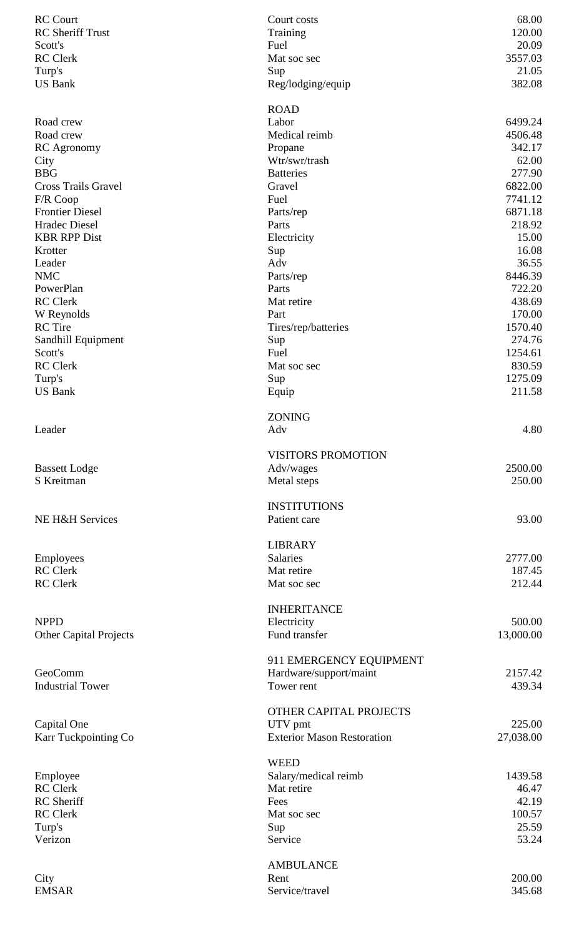| <b>RC</b> Court               | Court costs                       | 68.00             |
|-------------------------------|-----------------------------------|-------------------|
| <b>RC</b> Sheriff Trust       | Training                          | 120.00            |
| Scott's                       | Fuel                              | 20.09             |
| <b>RC</b> Clerk               | Mat soc sec                       | 3557.03           |
| Turp's                        | Sup                               | 21.05             |
| <b>US Bank</b>                | Reg/lodging/equip                 | 382.08            |
|                               | <b>ROAD</b>                       |                   |
| Road crew                     | Labor                             | 6499.24           |
| Road crew                     | Medical reimb                     | 4506.48           |
| <b>RC</b> Agronomy            | Propane                           | 342.17            |
| City                          | Wtr/swr/trash                     | 62.00             |
| <b>BBG</b>                    | <b>Batteries</b>                  | 277.90            |
| <b>Cross Trails Gravel</b>    | Gravel                            | 6822.00           |
| F/R Coop                      | Fuel                              | 7741.12           |
| <b>Frontier Diesel</b>        | Parts/rep                         | 6871.18           |
| Hradec Diesel                 | Parts                             | 218.92            |
| <b>KBR RPP Dist</b>           | Electricity                       | 15.00             |
| Krotter                       | Sup                               | 16.08             |
| Leader<br><b>NMC</b>          | Adv                               | 36.55             |
|                               | Parts/rep<br>Parts                | 8446.39<br>722.20 |
| PowerPlan<br><b>RC</b> Clerk  |                                   | 438.69            |
|                               | Mat retire                        |                   |
| W Reynolds                    | Part                              | 170.00            |
| <b>RC</b> Tire                | Tires/rep/batteries               | 1570.40           |
| Sandhill Equipment            | Sup                               | 274.76            |
| Scott's                       | Fuel                              | 1254.61           |
| <b>RC</b> Clerk               | Mat soc sec                       | 830.59            |
| Turp's                        | Sup                               | 1275.09           |
| <b>US Bank</b>                | Equip                             | 211.58            |
|                               | <b>ZONING</b>                     |                   |
| Leader                        | Adv                               | 4.80              |
|                               | <b>VISITORS PROMOTION</b>         |                   |
| <b>Bassett Lodge</b>          | Adv/wages                         | 2500.00           |
| S Kreitman                    | Metal steps                       | 250.00            |
|                               |                                   |                   |
|                               | <b>INSTITUTIONS</b>               |                   |
| NE H&H Services               | Patient care                      | 93.00             |
|                               | <b>LIBRARY</b>                    |                   |
| Employees                     | <b>Salaries</b>                   | 2777.00           |
| <b>RC</b> Clerk               | Mat retire                        | 187.45            |
| <b>RC</b> Clerk               | Mat soc sec                       | 212.44            |
|                               | <b>INHERITANCE</b>                |                   |
| <b>NPPD</b>                   | Electricity                       | 500.00            |
| <b>Other Capital Projects</b> | Fund transfer                     | 13,000.00         |
|                               |                                   |                   |
|                               | 911 EMERGENCY EQUIPMENT           |                   |
| GeoComm                       | Hardware/support/maint            | 2157.42           |
| <b>Industrial Tower</b>       | Tower rent                        | 439.34            |
|                               | OTHER CAPITAL PROJECTS            |                   |
| Capital One                   | UTV pmt                           | 225.00            |
| Karr Tuckpointing Co          | <b>Exterior Mason Restoration</b> | 27,038.00         |
|                               |                                   |                   |
|                               | <b>WEED</b>                       |                   |
| Employee                      | Salary/medical reimb              | 1439.58           |
| <b>RC</b> Clerk               | Mat retire                        | 46.47             |
| RC Sheriff                    | Fees                              | 42.19             |
| <b>RC</b> Clerk               | Mat soc sec                       | 100.57            |
| Turp's                        | Sup                               | 25.59             |
| Verizon                       | Service                           | 53.24             |
|                               | <b>AMBULANCE</b>                  |                   |
| City                          | Rent                              | 200.00            |
| <b>EMSAR</b>                  | Service/travel                    | 345.68            |
|                               |                                   |                   |